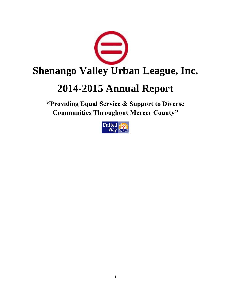

# **2014-2015 Annual Report**

**"Providing Equal Service & Support to Diverse Communities Throughout Mercer County"**

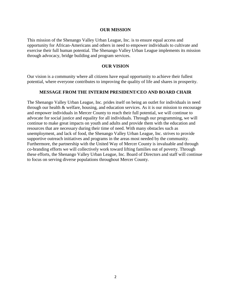#### **OUR MISSION**

This mission of the Shenango Valley Urban League, Inc. is to ensure equal access and opportunity for African-Americans and others in need to empower individuals to cultivate and exercise their full human potential. The Shenango Valley Urban League implements its mission through advocacy, bridge building and program services.

#### **OUR VISION**

Our vision is a community where all citizens have equal opportunity to achieve their fullest potential, where everyone contributes to improving the quality of life and shares in prosperity.

#### **MESSAGE FROM THE INTERIM PRESIDENT/CEO AND BOARD CHAIR**

The Shenango Valley Urban League, Inc. prides itself on being an outlet for individuals in need through our health & welfare, housing, and education services. As it is our mission to encourage and empower individuals in Mercer County to reach their full potential, we will continue to advocate for social justice and equality for all individuals. Through our programming, we will continue to make great impacts on youth and adults and provide them with the education and resources that are necessary during their time of need. With many obstacles such as unemployment, and lack of food, the Shenango Valley Urban League, Inc. strives to provide supportive outreach initiatives and programs in the areas most needed by the community. Furthermore, the partnership with the United Way of Mercer County is invaluable and through co-branding efforts we will collectively work toward lifting families out of poverty. Through these efforts, the Shenango Valley Urban League, Inc. Board of Directors and staff will continue to focus on serving diverse populations throughout Mercer County.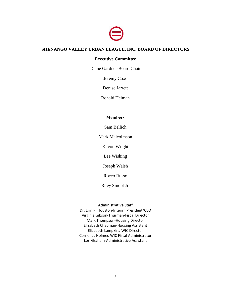

# **SHENANGO VALLEY URBAN LEAGUE, INC. BOARD OF DIRECTORS**

#### **Executive Committee**

Diane Gardner-Board Chair

Jeremy Coxe

Denise Jarrett

Ronald Heiman

#### **Members**

Sam Bellich

Mark Malcolmson

Kavon Wright

Lee Wishing

Joseph Walsh

Rocco Russo

Riley Smoot Jr.

#### **Administrative Staff**

Dr. Erin R. Houston-Interim President/CEO Virginia Gibson-Thurman-Fiscal Director Mark Thompson-Housing Director Elizabeth Chapman-Housing Assistant Elizabeth Lampkins-WIC Director Cornelius Holmes-WIC Fiscal Administrator Lori Graham-Administrative Assistant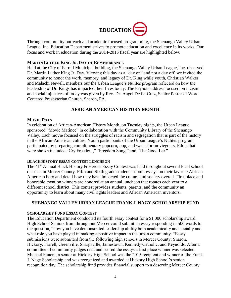

Through community outreach and academic focused programming, the Shenango Valley Urban League, Inc. Education Department strives to promote education and excellence in its works. Our focus and work in education during the 2014-2015 fiscal year are highlighted below:

#### **MARTIN LUTHER KING JR. DAY OF REMEMBRANCE**

Held at the City of Farrell Municipal building, the Shenango Valley Urban League, Inc. observed Dr. Martin Luther King Jr. Day. Viewing this day as a "day on" and not a day off, we invited the community to honor the work, memory, and legacy of Dr. King while youth, Christian Walker and Malachi Newell, members our the Urban League's Nulites program reflected on how the leadership of Dr. Kings has impacted their lives today. The keynote address focused on racism and social injustices of today was given by Rev. Dr. Angel De La Cruz, Senior Pastor of Word Centered Presbyterian Church, Sharon, PA.

# **AFRICAN AMERICAN HISTORY MONTH**

#### **MOVIE DAYS**

In celebration of African-American History Month, on Tuesday nights, the Urban League sponsored "Movie Matinee" in collaboration with the Community Library of the Shenango Valley. Each movie focused on the struggles of racism and segregation that is part of the history in the African-American culture. Youth participants of the Urban League's Nulites program participated by preparing complimentary popcorn, pop, and water for moviegoers. Films that were shown included "Cry Freedom," "Freedom Song," and "The Good Lie."

#### **BLACK HISTORY ESSAY CONTEST LUNCHEON**

The 41<sup>st</sup> Annual Black History & Heroes Essay Contest was held throughout several local school districts in Mercer County. Fifth and Sixth grade students submit essays on their favorite African American hero and detail how they have impacted the culture and society overall. First place and honorable mention winners are honored at an annual luncheon that rotates each year to a different school district. This contest provides students, parents, and the community an opportunity to learn about many civil rights leaders and African American inventors.

# **SHENANGO VALLEY URBAN LEAGUE FRANK J. NAGY SCHOLARSHIP FUND**

# **SCHOLARSHIP FUND ESSAY CONTEST**

The Education Department conducted its fourth essay contest for a \$1,000 scholarship award. High School Seniors from throughout Mercer could submit an essay responding in 500 words to the question, "how you have demonstrated leadership ability both academically and socially and what role you have played in making a positive impact in the urban community. "Essay submissions were submitted from the following high schools in Mercer County: Sharon, Hickory, Farrell, Greenville, Sharpsville, Jamestown, Kennedy Catholic, and Reynolds. After a committee of community judges read and scored the essays a first place winner was selected. Michael Funera, a senior at Hickory High School was the 2015 recipient and winner of the Frank J. Nagy Scholarship and was recognized and awarded at Hickory High School's senior recognition day. The scholarship fund provides financial support to a deserving Mercer County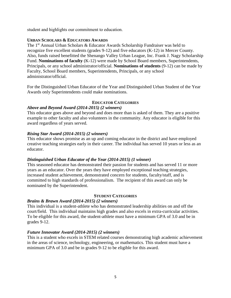student and highlights our commitment to education.

## **URBAN SCHOLARS & EDUCATORS AWARDS**

The 1<sup>st</sup> Annual Urban Scholars & Educator Awards Scholarship Fundraiser was held to recognize five excellent students (grades 9-12) and five educators (K-12) in Mercer County. Also, funds raised benefitted the Shenango Valley Urban League, Inc. Frank J. Nagy Scholarship Fund. **Nominations of faculty** (K-12) were made by School Board members, Superintendents, Principals, or any school administrator/official. **Nominations of students** (9-12) can be made by Faculty, School Board members, Superintendents, Principals, or any school administrator/official.

For the Distinguished Urban Educator of the Year and Distinguished Urban Student of the Year Awards only Superintendents could make nominations.

# **EDUCATOR CATEGORIES**

# *Above and Beyond Award (2014-2015) (2 winners)*

This educator goes above and beyond and does more than is asked of them. They are a positive example to other faculty and also volunteers in the community. Any educator is eligible for this award regardless of years served.

## *Rising Star Award (2014-2015) (2 winners)*

This educator shows promise as an up and coming educator in the district and have employed creative teaching strategies early in their career. The individual has served 10 years or less as an educator.

# *Distinguished Urban Educator of the Year (2014-2015) (1 winner)*

This seasoned educator has demonstrated their passion for students and has served 11 or more years as an educator. Over the years they have employed exceptional teaching strategies, increased student achievement, demonstrated concern for students, faculty/staff, and is committed to high standards of professionalism. The recipient of this award can only be nominated by the Superintendent.

#### **STUDENT CATEGORIES**

#### *Brains & Brawn Award (2014-2015) (2 winners)*

This individual is a student-athlete who has demonstrated leadership abilities on and off the court/field. This individual maintains high grades and also excels in extra-curricular activities. To be eligible for this award, the student-athlete must have a minimum GPA of 3.0 and be in grades 9-12.

# *Future Innovator Award (2014-2015) (2 winners)*

This is a student who excels in STEM related courses demonstrating high academic achievement in the areas of science, technology, engineering, or mathematics. This student must have a minimum GPA of 3.0 and be in grades 9-12 to be eligible for this award.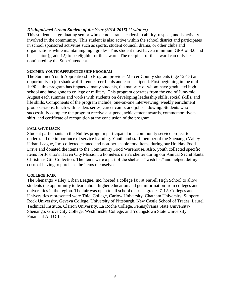## *Distinguished Urban Student of the Year (2014-2015) (1 winner)*

This student is a graduating senior who demonstrates leadership ability, respect, and is actively involved in the community. This student is also active within the school district and participates in school sponsored activities such as sports, student council, drama, or other clubs and organizations while maintaining high grades. This student must have a minimum GPA of 3.0 and be a senior (grade 12) to be eligible for this award. The recipient of this award can only be nominated by the Superintendent.

#### **SUMMER YOUTH APPRENTICESHIP PROGRAM**

The Summer Youth Apprenticeship Program provides Mercer County students (age 12-15) an opportunity to job shadow different career fields and earn a stipend. First beginning in the mid 1990's, this program has impacted many students, the majority of whom have graduated high school and have gone to college or military. This program operates from the end of June-mid August each summer and works with students on developing leadership skills, social skills, and life skills. Components of the program include, one-on-one interviewing, weekly enrichment group sessions, lunch with leaders series, career camp, and job shadowing. Students who successfully complete the program receive a stipend, achievement awards, commemorative tshirt, and certificate of recognition at the conclusion of the program.

## **FALL GIVE BACK**

Student participants in the Nulites program participated in a community service project to understand the importance of service learning. Youth and staff member of the Shenango Valley Urban League, Inc. collected canned and non-perishable food items during our Holiday Food Drive and donated the items to the Community Food Warehouse. Also, youth collected specific items for Joshua's Haven City Mission, a homeless men's shelter during our Annual Secret Santa Christmas Gift Collection. The items were a part of the shelter's "wish list" and helped defray costs of having to purchase the items themselves.

#### **COLLEGE FAIR**

The Shenango Valley Urban League, Inc. hosted a college fair at Farrell High School to allow students the opportunity to learn about higher education and get information from colleges and universities in the region. The fair was open to all school districts grades 7-12. Colleges and Universities represented were Thiel College, Carlow University, Chatham University, Slippery Rock University, Geveva College, University of Pittsburgh, New Castle School of Trades, Laurel Technical Institute, Clarion University, La Roche College, Pennsylvania State University-Shenango, Grove City College, Westminster College, and Youngstown State University Financial Aid Office.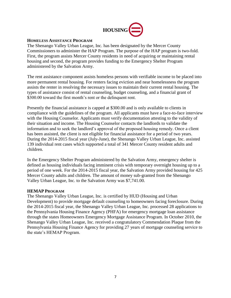

#### **HOMELESS ASSISTANCE PROGRAM**

The Shenango Valley Urban League, Inc. has been designated by the Mercer County Commissioners to administer the HAP Program. The purpose of the HAP program is two-fold. First, the program assists Mercer County residents in need of acquiring or maintaining rental housing and second, the program provides funding to the Emergency Shelter Program administered by the Salvation Army.

The rent assistance component assists homeless persons with verifiable income to be placed into more permanent rental housing. For renters facing eviction and near homelessness the program assists the renter in resolving the necessary issues to maintain their current rental housing. The types of assistance consist of rental counseling, budget counseling, and a financial grant of \$300.00 toward the first month's rent or the delinquent rent.

Presently the financial assistance is capped at \$300.00 and is only available to clients in compliance with the guidelines of the program. All applicants must have a face-to-face interview with the Housing Counselor. Applicants must verify documentation attesting to the validity of their situation and income. The Housing Counselor contacts the landlords to validate the information and to seek the landlord's approval of the proposed housing remedy. Once a client has been assisted, the client is not eligible for financial assistance for a period of two years. During the 2014-2015 fiscal year (July-June), the Shenango Valley Urban League, Inc. assisted 139 individual rent cases which supported a total of 341 Mercer County resident adults and children.

In the Emergency Shelter Program administered by the Salvation Army, emergency shelter is defined as housing individuals facing imminent crisis with temporary overnight housing up to a period of one week. For the 2014-2015 fiscal year, the Salvation Army provided housing for 425 Mercer County adults and children. The amount of money sub-granted from the Shenango Valley Urban League, Inc. to the Salvation Army was \$7,741.00.

#### **HEMAP PROGRAM**

The Shenango Valley Urban League, Inc. is certified by HUD (Housing and Urban Development) to provide mortgage default counseling to homeowners facing foreclosure. During the 2014-2015 fiscal year, the Shenango Valley Urban League, Inc. processed 28 applications to the Pennsylvania Housing Finance Agency (PHFA) for emergency mortgage loan assistance through the states Homeowners Emergency Mortgage Assistance Program. In October 2010, the Shenango Valley Urban League, Inc. received a congratulatory Commendation Plaque from the Pennsylvania Housing Finance Agency for providing 27 years of mortgage counseling service to the state's HEMAP Program.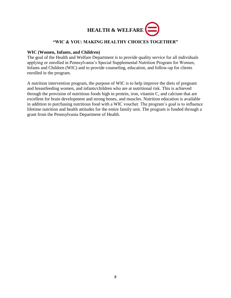

## **"WIC & YOU: MAKING HEALTHY CHOICES TOGETHER"**

#### **WIC (Women, Infants, and Children)**

The goal of the Health and Welfare Department is to provide quality service for all individuals applying or enrolled in Pennsylvania's Special Supplemental Nutrition Program for Women, Infants and Children (WIC) and to provide counseling, education, and follow-up for clients enrolled in the program.

A nutrition intervention program, the purpose of WIC is to help improve the diets of pregnant and breastfeeding women, and infants/children who are at nutritional risk. This is achieved through the provision of nutritious foods high in protein, iron, vitamin C, and calcium that are excellent for brain development and strong bones, and muscles. Nutrition education is available in addition to purchasing nutritious food with a WIC voucher. The program's goal is to influence lifetime nutrition and health attitudes for the entire family unit. The program is funded through a grant from the Pennsylvania Department of Health.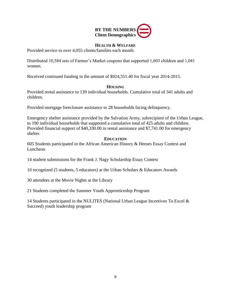

## **HEALTH & WELFARE**

Provided service to over 4,055 clients/families each month.

Distributed 10,584 sets of Farmer's Market coupons that supported 1,603 children and 1,041 women.

Received continued funding in the amount of \$924,551.40 for fiscal year 2014-2015.

## **HOUSING**

Provided rental assistance to 139 individual households. Cumulative total of 341 adults and children.

Provided mortgage foreclosure assistance to 28 households facing delinquency.

Emergency shelter assistance provided by the Salvation Army, subrecipient of the Urban League, to 190 individual households that supported a cumulative total of 425 adults and children. Provided financial support of \$40,330.00 in rental assistance and \$7,741.00 for emergency shelter.

## **EDUCATION**

605 Students participated in the African American History & Heroes Essay Contest and Luncheon

14 student submissions for the Frank J. Nagy Scholarship Essay Contest

10 recognized (5 students, 5 educators) at the Urban Scholars & Educators Awards

30 attendees at the Movie Nights at the Library

21 Students completed the Summer Youth Apprenticeship Program

14 Students participated in the NULITES (National Urban League Incentives To Excel & Succeed) youth leadership program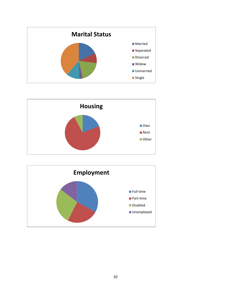